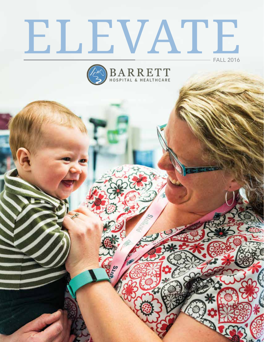# ELEVATE FALL 2016



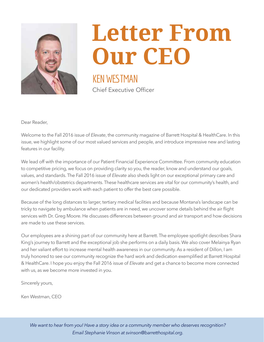

## **Letter From Our CEO** KEN WESTMAN Chief Executive Officer

Dear Reader,

Welcome to the Fall 2016 issue of *Elevate*, the community magazine of Barrett Hospital & HealthCare. In this issue, we highlight some of our most valued services and people, and introduce impressive new and lasting features in our facility.

We lead off with the importance of our Patient Financial Experience Committee. From community education to competitive pricing, we focus on providing clarity so you, the reader, know and understand our goals, values, and standards. The Fall 2016 issue of *Elevate* also sheds light on our exceptional primary care and women's health/obstetrics departments. These healthcare services are vital for our community's health, and our dedicated providers work with each patient to offer the best care possible.

Because of the long distances to larger, tertiary medical facilities and because Montana's landscape can be tricky to navigate by ambulance when patients are in need, we uncover some details behind the air flight services with Dr. Greg Moore. He discusses differences between ground and air transport and how decisions are made to use these services.

Our employees are a shining part of our community here at Barrett. The employee spotlight describes Shara King's journey to Barrett and the exceptional job she performs on a daily basis. We also cover Melainya Ryan and her valiant effort to increase mental health awareness in our community. As a resident of Dillon, I am truly honored to see our community recognize the hard work and dedication exemplified at Barrett Hospital & HealthCare. I hope you enjoy the Fall 2016 issue of *Elevate* and get a chance to become more connected with us, as we become more invested in you.

Sincerely yours,

Ken Westman, CEO

*We want to hear from you! Have a story idea or a community member who deserves recognition? Email Stephanie Vinson at svinson@barretthospital.org.*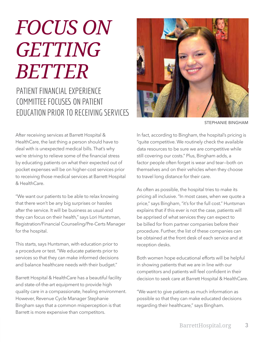# *FOCUS ON GETTING BETTER*

### PATIENT FINANCIAL EXPERIENCE COMMITTEE FOCUSES ON PATIENT EDUCATION PRIOR TO RECEIVING SERVICES



STEPHANIE BINGHAM

After receiving services at Barrett Hospital & HealthCare, the last thing a person should have to deal with is unexpected medical bills. That's why we're striving to relieve some of the financial stress by educating patients on what their expected out of pocket expenses will be on higher-cost services prior to receiving those medical services at Barrett Hospital & HealthCare.

"We want our patients to be able to relax knowing that there won't be any big surprises or hassles after the service. It will be business as usual and they can focus on their health," says Lori Huntsman, Registration/Financial Counseling/Pre-Certs Manager for the hospital.

This starts, says Huntsman, with education prior to a procedure or test. "We educate patients prior to services so that they can make informed decisions and balance healthcare needs with their budget."

Barrett Hospital & HealthCare has a beautiful facility and state-of-the-art equipment to provide high quality care in a compassionate, healing environment. However, Revenue Cycle Manager Stephanie Bingham says that a common misperception is that Barrett is more expensive than competitors.

In fact, according to Bingham, the hospital's pricing is "quite competitive. We routinely check the available data resources to be sure we are competitive while still covering our costs." Plus, Bingham adds, a factor people often forget is wear and tear—both on themselves and on their vehicles when they choose to travel long distance for their care.

As often as possible, the hospital tries to make its pricing all inclusive. "In most cases, when we quote a price," says Bingham, "it's for the full cost." Huntsman explains that if this ever is not the case, patients will be apprised of what services they can expect to be billed for from partner companies before their procedure. Further, the list of these companies can be obtained at the front desk of each service and at reception desks.

Both women hope educational efforts will be helpful in showing patients that we are in line with our competitors and patients will feel confident in their decision to seek care at Barrett Hospital & HealthCare.

"We want to give patients as much information as possible so that they can make educated decisions regarding their healthcare," says Bingham.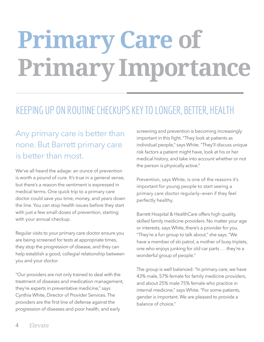# **Primary Care of Primary Importance**

## KEEPING UP ON ROUTINE CHECKUPS KEY TO LONGER, BETTER, HEALTH

## Any primary care is better than none. But Barrett primary care is better than most.

We've all heard the adage: an ounce of prevention is worth a pound of cure. It's true in a general sense, but there's a reason the sentiment is expressed in medical terms. One quick trip to a primary care doctor could save you time, money, and years down the line. You can stop health issues before they start with just a few small doses of prevention, starting with your annual checkup.

Regular visits to your primary care doctor ensure you are being screened for tests at appropriate times, they stop the progression of disease, and they can help establish a good, collegial relationship between you and your doctor.

"Our providers are not only trained to deal with the treatment of diseases and medication management, they're experts in preventative medicine," says Cynthia White, Director of Provider Services. The providers are the first line of defense against the progression of diseases and poor health, and early

screening and prevention is becoming increasingly important in this fight. "They look at patients as individual people," says White. "They'll discuss unique risk factors a patient might have, look at his or her medical history, and take into account whether or not the person is physically active."

Prevention, says White, is one of the reasons it's important for young people to start seeing a primary care doctor regularly—even if they feel perfectly healthy.

Barrett Hospital & HealthCare offers high quality, skilled family medicine providers. No matter your age or interests, says White, there's a provider for you. "They're a fun group to talk about," she says. "We have a member of ski patrol, a mother of busy triplets, one who enjoys junking for old car parts . . . they're a wonderful group of people."

The group is well balanced: "In primary care, we have 43% male, 57% female for family medicine providers, and about 25% male 75% female who practice in internal medicine," says White. "For some patients, gender is important. We are pleased to provide a balance of choice."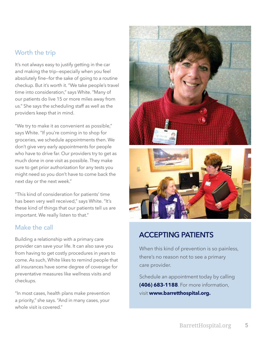#### Worth the trip

It's not always easy to justify getting in the car and making the trip—especially when you feel absolutely fine—for the sake of going to a routine checkup. But it's worth it. "We take people's travel time into consideration," says White. "Many of our patients do live 15 or more miles away from us." She says the scheduling staff as well as the providers keep that in mind.

"We try to make it as convenient as possible," says White. "If you're coming in to shop for groceries, we schedule appointments then. We don't give very early appointments for people who have to drive far. Our providers try to get as much done in one visit as possible. They make sure to get prior authorization for any tests you might need so you don't have to come back the next day or the next week."

"This kind of consideration for patients' time has been very well received," says White. "It's these kind of things that our patients tell us are important. We really listen to that."

#### Make the call

Building a relationship with a primary care provider can save your life. It can also save you from having to get costly procedures in years to come. As such, White likes to remind people that all insurances have some degree of coverage for preventative measures like wellness visits and checkups.

"In most cases, health plans make prevention a priority," she says. "And in many cases, your whole visit is covered."





#### **ACCEPTING PATIENTS**

When this kind of prevention is so painless, there's no reason not to see a primary care provider.

Schedule an appointment today by calling **(406) 683-1188**. For more information, visit **www.barretthospital.org.**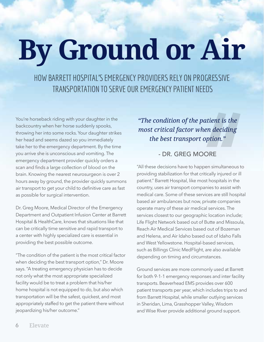# **By Ground or Air**

HOW BARRETT HOSPITAL'S EMERGENCY PROVIDERS RELY ON PROGRESSIVE TRANSPORTATION TO SERVE OUR EMERGENCY PATIENT NEEDS

You're horseback riding with your daughter in the backcountry when her horse suddenly spooks, throwing her into some rocks. Your daughter strikes her head and seems dazed so you immediately take her to the emergency department. By the time you arrive she is unconscious and vomiting. The emergency department provider quickly orders a scan and finds a large collection of blood on the brain. Knowing the nearest neurosurgeon is over 2 hours away by ground, the provider quickly summons air transport to get your child to definitive care as fast as possible for surgical intervention.

Dr. Greg Moore, Medical Director of the Emergency Department and Outpatient Infusion Center at Barrett Hospital & HealthCare, knows that situations like that can be critically time sensitive and rapid transport to a center with highly specialized care is essential in providing the best possible outcome.

"The condition of the patient is the most critical factor when deciding the best transport option," Dr. Moore says. "A treating emergency physician has to decide not only what the most appropriate specialized facility would be to treat a problem that his/her home hospital is not equipped to do, but also which transportation will be the safest, quickest, and most appropriately staffed to get the patient there without jeopardizing his/her outcome."

*"The condition of the patient is the most critical factor when deciding the best transport option."*

#### - DR. GREG MOORE

"All these decisions have to happen simultaneous to providing stabilization for that critically injured or ill patient." Barrett Hospital, like most hospitals in the country, uses air transport companies to assist with medical care. Some of these services are still hospital based air ambulances but now, private companies operate many of these air medical services. The services closest to our geographic location include; Life Flight Network based out of Butte and Missoula, Reach Air Medical Services based out of Bozeman and Helena, and Air Idaho based out of Idaho Falls and West Yellowstone. Hospital-based services, such as Billings Clinic MedFlight, are also available depending on timing and circumstances.

Ground services are more commonly used at Barrett for both 9-1-1 emergency responses and inter facility transports. Beaverhead EMS provides over 600 patient transports per year, which includes trips to and from Barrett Hospital, while smaller outlying services in Sheridan, Lima, Grasshopper Valley, Wisdom and Wise River provide additional ground support.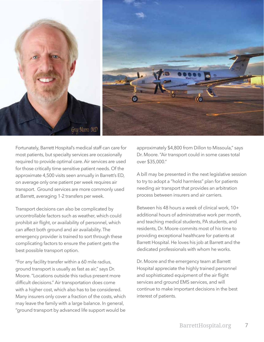

Fortunately, Barrett Hospital's medical staff can care for most patients, but specialty services are occasionally required to provide optimal care. Air services are used for those critically time sensitive patient needs. Of the approximate 4,500 visits seen annually in Barrett's ED, on average only one patient per week requires air transport. Ground services are more commonly used at Barrett, averaging 1-2 transfers per week.

Transport decisions can also be complicated by uncontrollable factors such as weather, which could prohibit air flight, or availability of personnel, which can affect both ground and air availability. The emergency provider is trained to sort through these complicating factors to ensure the patient gets the best possible transport option.

"For any facility transfer within a 60 mile radius, ground transport is usually as fast as air," says Dr. Moore. "Locations outside this radius present more difficult decisions." Air transportation does come with a higher cost, which also has to be considered. Many insurers only cover a fraction of the costs, which may leave the family with a large balance. In general, "ground transport by advanced life support would be

approximately \$4,800 from Dillon to Missoula," says Dr. Moore. "Air transport could in some cases total over \$35,000."

A bill may be presented in the next legislative session to try to adopt a "hold harmless" plan for patients needing air transport that provides an arbitration process between insurers and air carriers.

Between his 48 hours a week of clinical work, 10+ additional hours of administrative work per month, and teaching medical students, PA students, and residents, Dr. Moore commits most of his time to providing exceptional healthcare for patients at Barrett Hospital. He loves his job at Barrett and the dedicated professionals with whom he works.

Dr. Moore and the emergency team at Barrett Hospital appreciate the highly trained personnel and sophisticated equipment of the air flight services and ground EMS services, and will continue to make important decisions in the best interest of patients.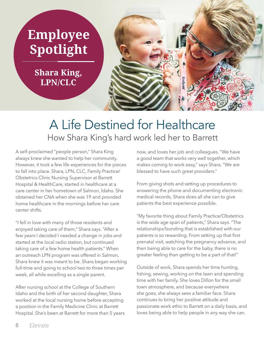

## A Life Destined for Healthcare How Shara King's hard work led her to Barrett

A self-proclaimed "people person," Shara King always knew she wanted to help her community. However, it took a few life experiences for the pieces to fall into place. Shara, LPN, CLC, Family Practice/ Obstetrics Clinic Nursing Supervisor at Barrett Hospital & HealthCare, started in healthcare at a care center in her hometown of Salmon, Idaho. She obtained her CNA when she was 19 and provided home healthcare in the mornings before her care center shifts.

"I fell in love with many of those residents and enjoyed taking care of them," Shara says. "After a few years I decided I needed a change in jobs and started at the local radio station, but continued taking care of a few home health patients." When an outreach LPN program was offered in Salmon, Shara knew it was meant to be. Shara began working full-time and going to school two to three times per week, all while excelling as a single parent.

After nursing school at the College of Southern Idaho and the birth of her second daughter, Shara worked at the local nursing home before accepting a position in the Family Medicine Clinic at Barrett Hospital. She's been at Barrett for more than 5 years now, and loves her job and colleagues. "We have a good team that works very well together, which makes coming to work easy," says Shara. "We are blessed to have such great providers."

From giving shots and setting up procedures to answering the phone and documenting electronic medical records, Shara does all she can to give patients the best experience possible.

"My favorite thing about Family Practice/Obstetrics is the wide age span of patients," Shara says. "The relationships/bonding that is established with our patients is so rewarding. From setting up that first prenatal visit, watching the pregnancy advance, and then being able to care for the baby, there is no greater feeling than getting to be a part of that!"

Outside of work, Shara spends her time hunting, fishing, sewing, working on the lawn and spending time with her family. She loves Dillon for the small town atmosphere, and because everywhere she goes, she always sees a familiar face. Shara continues to bring her positive attitude and passionate work ethic to Barrett on a daily basis, and loves being able to help people in any way she can.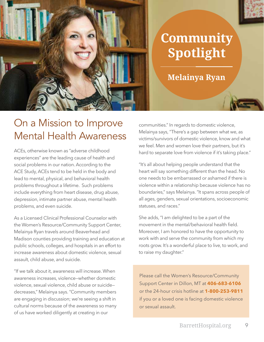

## **Community Spotlight**

**Melainya Ryan** 

## On a Mission to Improve Mental Health Awareness

ACEs, otherwise known as "adverse childhood experiences" are the leading cause of health and social problems in our nation. According to the ACE Study, ACEs tend to be held in the body and lead to mental, physical, and behavioral health problems throughout a lifetime. Such problems include everything from heart disease, drug abuse, depression, intimate partner abuse, mental health problems, and even suicide.

As a Licensed Clinical Professional Counselor with the Women's Resource/Community Support Center, Melainya Ryan travels around Beaverhead and Madison counties providing training and education at public schools, colleges, and hospitals in an effort to increase awareness about domestic violence, sexual assault, child abuse, and suicide.

"If we talk about it, awareness will increase. When awareness increases, violence—whether domestic violence, sexual violence, child abuse or suicide decreases," Melainya says. "Community members are engaging in discussion; we're seeing a shift in cultural norms because of the awareness so many of us have worked diligently at creating in our

communities." In regards to domestic violence, Melainya says, "There's a gap between what we, as victims/survivors of domestic violence, know and what we feel. Men and women love their partners, but it's hard to separate love from violence if it's taking place."

"It's all about helping people understand that the heart will say something different than the head. No one needs to be embarrassed or ashamed if there is violence within a relationship because violence has no boundaries," says Melainya. "It spans across people of all ages, genders, sexual orientations, socioeconomic statuses, and races."

She adds, "I am delighted to be a part of the movement in the mental/behavioral health field. Moreover, I am honored to have the opportunity to work with and serve the community from which my roots grow. It's a wonderful place to live, to work, and to raise my daughter."

Please call the Women's Resource/Community Support Center in Dillon, MT at **406-683-6106** or the 24-hour crisis hotline at **1-800-253-9811**  if you or a loved one is facing domestic violence or sexual assault.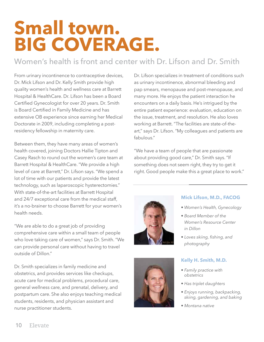## **Small town. BIG COVERAGE.**

### Women's health is front and center with Dr. Lifson and Dr. Smith

From urinary incontinence to contraceptive devices, Dr. Mick Lifson and Dr. Kelly Smith provide high quality women's health and wellness care at Barrett Hospital & HealthCare. Dr. Lifson has been a Board Certified Gynecologist for over 20 years. Dr. Smith is Board Certified in Family Medicine and has extensive OB experience since earning her Medical Doctorate in 2009, including completing a postresidency fellowship in maternity care.

Between them, they have many areas of women's health covered, joining Doctors Hallie Tipton and Casey Rasch to round out the women's care team at Barrett Hospital & HealthCare. "We provide a high level of care at Barrett," Dr. Lifson says. "We spend a lot of time with our patients and provide the latest technology, such as laparoscopic hysterectomies." With state-of-the-art facilities at Barrett Hospital and 24/7 exceptional care from the medical staff, it's a no-brainer to choose Barrett for your women's health needs.

"We are able to do a great job of providing comprehensive care within a small team of people who love taking care of women," says Dr. Smith. "We can provide personal care without having to travel outside of Dillon."

Dr. Smith specializes in family medicine and obstetrics, and provides services like checkups, acute care for medical problems, procedural care, general wellness care, and prenatal, delivery, and postpartum care. She also enjoys teaching medical students, residents, and physician assistant and nurse practitioner students.

Dr. Lifson specializes in treatment of conditions such as urinary incontinence, abnormal bleeding and pap smears, menopause and post-menopause, and many more. He enjoys the patient interaction he encounters on a daily basis. He's intrigued by the entire patient experience: evaluation, education on the issue, treatment, and resolution. He also loves working at Barrett. "The facilities are state-of-theart," says Dr. Lifson. "My colleagues and patients are fabulous."

"We have a team of people that are passionate about providing good care," Dr. Smith says. "If something does not seem right, they try to get it right. Good people make this a great place to work."





#### **Mick Lifson, M.D., FACOG**

- *Women's Health, Gynecology*
- *Board Member of the Women's Resource Center in Dillon*
- *Loves skiing, fishing, and photography*

#### **Kelly H. Smith, M.D.**

- *Family practice with obstetrics*
- *Has triplet daughters*
- *Enjoys running, backpacking, skiing, gardening, and baking*
- *Montana native*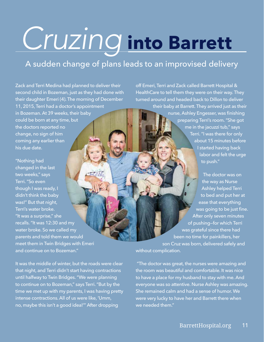# *Cruzing* **into Barrett**

### A sudden change of plans leads to an improvised delivery

Zack and Terri Medina had planned to deliver their second child in Bozeman, just as they had done with their daughter Emeri (4). The morning of December 11, 2015, Terri had a doctor's appointment in Bozeman. At 39 weeks, their baby could be born at any time, but the doctors reported no change, no sign of him coming any earlier than his due date.

"Nothing had changed in the last two weeks," says Terri. "So even though I was ready, I didn't think the baby was!" But that night, Terri's water broke. "It was a surprise," she recalls. "It was 12:30 and my water broke. So we called my parents and told them we would meet them in Twin Bridges with Emeri and continue on to Bozeman."

off Emeri, Terri and Zack called Barrett Hospital & HealthCare to tell them they were on their way. They turned around and headed back to Dillon to deliver

their baby at Barrett. They arrived just as their nurse, Ashley Engesser, was finishing preparing Terri's room. "She got me in the jacuzzi tub," says Terri. "I was there for only about 15 minutes before I started having back labor and felt the urge to push."

 The doctor was on the way as Nurse Ashley helped Terri to bed and put her at ease that everything was going to be just fine. After only seven minutes of pushing—for which Terri was grateful since there had been no time for painkillers, her son Cruz was born, delivered safely and without complication.

It was the middle of winter, but the roads were clear that night, and Terri didn't start having contractions until halfway to Twin Bridges. "We were planning to continue on to Bozeman," says Terri. "But by the time we met up with my parents, I was having pretty intense contractions. All of us were like, 'Umm, no, maybe this isn't a good idea!'" After dropping

 "The doctor was great, the nurses were amazing and the room was beautiful and comfortable. It was nice to have a place for my husband to stay with me. And everyone was so attentive. Nurse Ashley was amazing. She remained calm and had a sense of humor. We were very lucky to have her and Barrett there when we needed them."